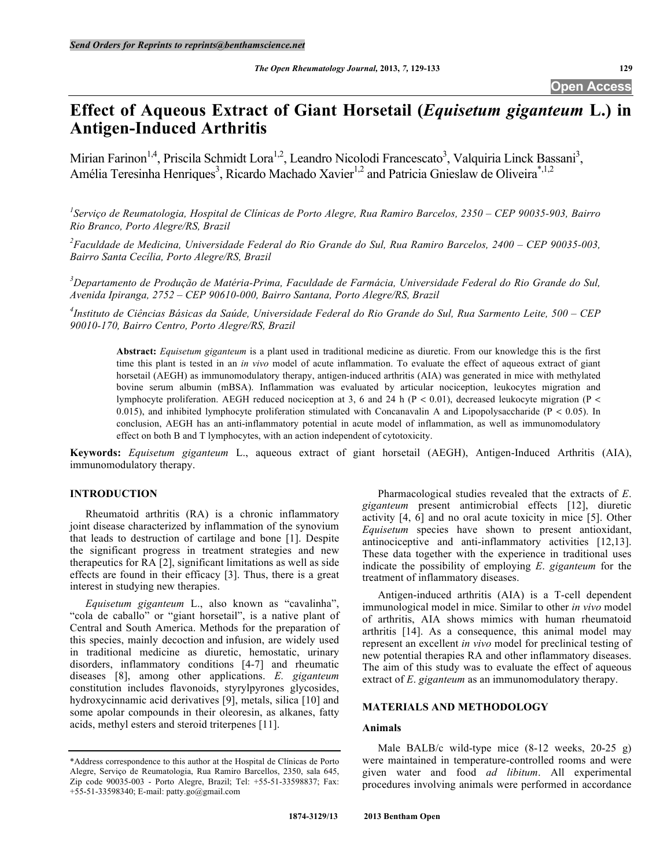## **Open Access**

# **Effect of Aqueous Extract of Giant Horsetail (***Equisetum giganteum* **L.) in Antigen-Induced Arthritis**

Mirian Farinon<sup>1,4</sup>, Priscila Schmidt Lora<sup>1,2</sup>, Leandro Nicolodi Francescato<sup>3</sup>, Valquiria Linck Bassani<sup>3</sup>, Amélia Teresinha Henriques<sup>3</sup>, Ricardo Machado Xavier<sup>1,2</sup> and Patricia Gnieslaw de Oliveira<sup>\*,1,2</sup>

*1 Serviço de Reumatologia, Hospital de Clínicas de Porto Alegre, Rua Ramiro Barcelos, 2350 – CEP 90035-903, Bairro Rio Branco, Porto Alegre/RS, Brazil*

*2 Faculdade de Medicina, Universidade Federal do Rio Grande do Sul, Rua Ramiro Barcelos, 2400 – CEP 90035-003, Bairro Santa Cecília, Porto Alegre/RS, Brazil*

*3 Departamento de Produção de Matéria-Prima, Faculdade de Farmácia, Universidade Federal do Rio Grande do Sul, Avenida Ipiranga, 2752 – CEP 90610-000, Bairro Santana, Porto Alegre/RS, Brazil*

*4 Instituto de Ciências Básicas da Saúde, Universidade Federal do Rio Grande do Sul, Rua Sarmento Leite, 500 – CEP 90010-170, Bairro Centro, Porto Alegre/RS, Brazil*

**Abstract:** *Equisetum giganteum* is a plant used in traditional medicine as diuretic. From our knowledge this is the first time this plant is tested in an *in vivo* model of acute inflammation. To evaluate the effect of aqueous extract of giant horsetail (AEGH) as immunomodulatory therapy, antigen-induced arthritis (AIA) was generated in mice with methylated bovine serum albumin (mBSA). Inflammation was evaluated by articular nociception, leukocytes migration and lymphocyte proliferation. AEGH reduced nociception at 3, 6 and 24 h (P < 0.01), decreased leukocyte migration (P < 0.015), and inhibited lymphocyte proliferation stimulated with Concanavalin A and Lipopolysaccharide ( $P < 0.05$ ). In conclusion, AEGH has an anti-inflammatory potential in acute model of inflammation, as well as immunomodulatory effect on both B and T lymphocytes, with an action independent of cytotoxicity.

**Keywords:** *Equisetum giganteum* L., aqueous extract of giant horsetail (AEGH), Antigen-Induced Arthritis (AIA), immunomodulatory therapy.

#### **INTRODUCTION**

Rheumatoid arthritis (RA) is a chronic inflammatory joint disease characterized by inflammation of the synovium that leads to destruction of cartilage and bone [1]. Despite the significant progress in treatment strategies and new therapeutics for RA [2], significant limitations as well as side effects are found in their efficacy [3]. Thus, there is a great interest in studying new therapies.

*Equisetum giganteum* L., also known as "cavalinha", "cola de caballo" or "giant horsetail", is a native plant of Central and South America. Methods for the preparation of this species, mainly decoction and infusion, are widely used in traditional medicine as diuretic, hemostatic, urinary disorders, inflammatory conditions [4-7] and rheumatic diseases [8], among other applications. *E. giganteum* constitution includes flavonoids, styrylpyrones glycosides, hydroxycinnamic acid derivatives [9], metals, silica [10] and some apolar compounds in their oleoresin, as alkanes, fatty acids, methyl esters and steroid triterpenes [11].

Pharmacological studies revealed that the extracts of *E*. *giganteum* present antimicrobial effects [12], diuretic activity [4, 6] and no oral acute toxicity in mice [5]. Other *Equisetum* species have shown to present antioxidant, antinociceptive and anti-inflammatory activities [12,13]. These data together with the experience in traditional uses indicate the possibility of employing *E*. *giganteum* for the treatment of inflammatory diseases.

Antigen-induced arthritis (AIA) is a T-cell dependent immunological model in mice. Similar to other *in vivo* model of arthritis, AIA shows mimics with human rheumatoid arthritis [14]. As a consequence, this animal model may represent an excellent *in vivo* model for preclinical testing of new potential therapies RA and other inflammatory diseases. The aim of this study was to evaluate the effect of aqueous extract of *E*. *giganteum* as an immunomodulatory therapy.

#### **MATERIALS AND METHODOLOGY**

#### **Animals**

Male BALB/c wild-type mice (8-12 weeks, 20-25 g) were maintained in temperature-controlled rooms and were given water and food *ad libitum*. All experimental procedures involving animals were performed in accordance

<sup>\*</sup>Address correspondence to this author at the Hospital de Clínicas de Porto Alegre, Serviço de Reumatologia, Rua Ramiro Barcellos, 2350, sala 645, Zip code 90035-003 - Porto Alegre, Brazil; Tel: +55-51-33598837; Fax: +55-51-33598340; E-mail: patty.go@gmail.com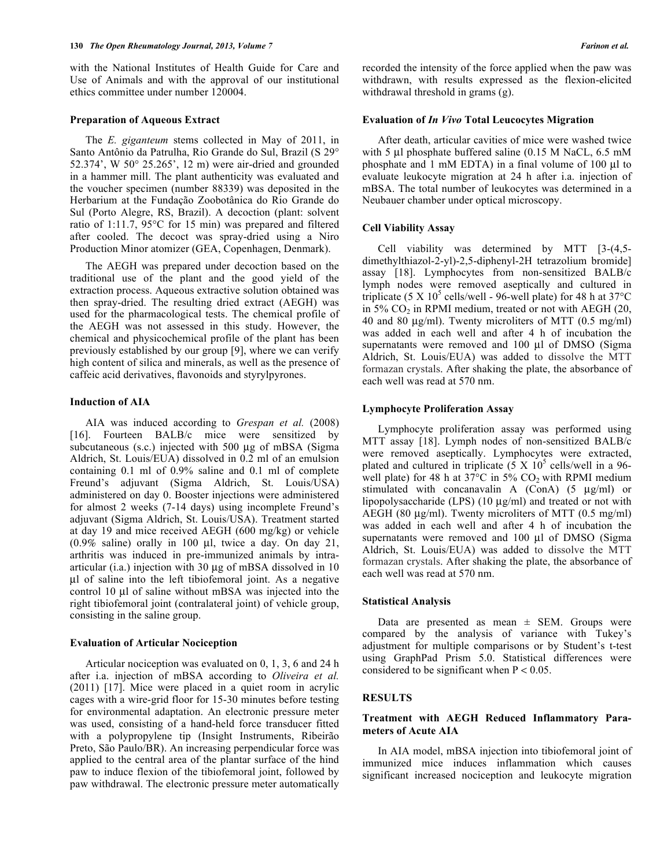with the National Institutes of Health Guide for Care and Use of Animals and with the approval of our institutional ethics committee under number 120004.

#### **Preparation of Aqueous Extract**

The *E. giganteum* stems collected in May of 2011, in Santo Antônio da Patrulha, Rio Grande do Sul, Brazil (S 29° 52.374', W 50° 25.265', 12 m) were air-dried and grounded in a hammer mill. The plant authenticity was evaluated and the voucher specimen (number 88339) was deposited in the Herbarium at the Fundação Zoobotânica do Rio Grande do Sul (Porto Alegre, RS, Brazil). A decoction (plant: solvent ratio of 1:11.7, 95°C for 15 min) was prepared and filtered after cooled. The decoct was spray-dried using a Niro Production Minor atomizer (GEA, Copenhagen, Denmark).

The AEGH was prepared under decoction based on the traditional use of the plant and the good yield of the extraction process. Aqueous extractive solution obtained was then spray-dried. The resulting dried extract (AEGH) was used for the pharmacological tests. The chemical profile of the AEGH was not assessed in this study. However, the chemical and physicochemical profile of the plant has been previously established by our group [9], where we can verify high content of silica and minerals, as well as the presence of caffeic acid derivatives, flavonoids and styrylpyrones.

#### **Induction of AIA**

AIA was induced according to *Grespan et al.* (2008) [16]. Fourteen BALB/c mice were sensitized by subcutaneous (s.c.) injected with 500 µg of mBSA (Sigma Aldrich, St. Louis/EUA) dissolved in 0.2 ml of an emulsion containing 0.1 ml of 0.9% saline and 0.1 ml of complete Freund's adjuvant (Sigma Aldrich, St. Louis/USA) administered on day 0. Booster injections were administered for almost 2 weeks (7-14 days) using incomplete Freund's adjuvant (Sigma Aldrich, St. Louis/USA). Treatment started at day 19 and mice received AEGH (600 mg/kg) or vehicle  $(0.9\%$  saline) orally in 100 µl, twice a day. On day 21, arthritis was induced in pre-immunized animals by intraarticular (i.a.) injection with 30 µg of mBSA dissolved in 10 µl of saline into the left tibiofemoral joint. As a negative control 10 µl of saline without mBSA was injected into the right tibiofemoral joint (contralateral joint) of vehicle group, consisting in the saline group.

#### **Evaluation of Articular Nociception**

Articular nociception was evaluated on 0, 1, 3, 6 and 24 h after i.a. injection of mBSA according to *Oliveira et al.* (2011) [17]. Mice were placed in a quiet room in acrylic cages with a wire-grid floor for 15-30 minutes before testing for environmental adaptation. An electronic pressure meter was used, consisting of a hand-held force transducer fitted with a polypropylene tip (Insight Instruments, Ribeirão Preto, São Paulo/BR). An increasing perpendicular force was applied to the central area of the plantar surface of the hind paw to induce flexion of the tibiofemoral joint, followed by paw withdrawal. The electronic pressure meter automatically recorded the intensity of the force applied when the paw was withdrawn, with results expressed as the flexion-elicited withdrawal threshold in grams (g).

#### **Evaluation of** *In Vivo* **Total Leucocytes Migration**

After death, articular cavities of mice were washed twice with 5 µl phosphate buffered saline (0.15 M NaCL, 6.5 mM phosphate and 1 mM EDTA) in a final volume of 100 µl to evaluate leukocyte migration at 24 h after i.a. injection of mBSA. The total number of leukocytes was determined in a Neubauer chamber under optical microscopy.

#### **Cell Viability Assay**

Cell viability was determined by MTT [3-(4,5 dimethylthiazol-2-yl)-2,5-diphenyl-2H tetrazolium bromide] assay [18]. Lymphocytes from non-sensitized BALB/c lymph nodes were removed aseptically and cultured in triplicate (5 X  $10^5$  cells/well - 96-well plate) for 48 h at 37 $^{\circ}$ C in  $5\%$  CO<sub>2</sub> in RPMI medium, treated or not with AEGH (20, 40 and 80 µg/ml). Twenty microliters of MTT (0.5 mg/ml) was added in each well and after 4 h of incubation the supernatants were removed and 100 µl of DMSO (Sigma Aldrich, St. Louis/EUA) was added to dissolve the MTT formazan crystals. After shaking the plate, the absorbance of each well was read at 570 nm.

#### **Lymphocyte Proliferation Assay**

Lymphocyte proliferation assay was performed using MTT assay [18]. Lymph nodes of non-sensitized BALB/c were removed aseptically. Lymphocytes were extracted, plated and cultured in triplicate  $(5 \times 10^5 \text{ cells/well in a 96-}$ well plate) for 48 h at  $37^{\circ}$ C in 5% CO<sub>2</sub> with RPMI medium stimulated with concanavalin A (ConA) (5 µg/ml) or lipopolysaccharide (LPS) (10 µg/ml) and treated or not with AEGH (80 µg/ml). Twenty microliters of MTT (0.5 mg/ml) was added in each well and after 4 h of incubation the supernatants were removed and 100 µl of DMSO (Sigma Aldrich, St. Louis/EUA) was added to dissolve the MTT formazan crystals. After shaking the plate, the absorbance of each well was read at 570 nm.

#### **Statistical Analysis**

Data are presented as mean  $\pm$  SEM. Groups were compared by the analysis of variance with Tukey's adjustment for multiple comparisons or by Student's t-test using GraphPad Prism 5.0. Statistical differences were considered to be significant when  $P < 0.05$ .

### **RESULTS**

#### **Treatment with AEGH Reduced Inflammatory Parameters of Acute AIA**

In AIA model, mBSA injection into tibiofemoral joint of immunized mice induces inflammation which causes significant increased nociception and leukocyte migration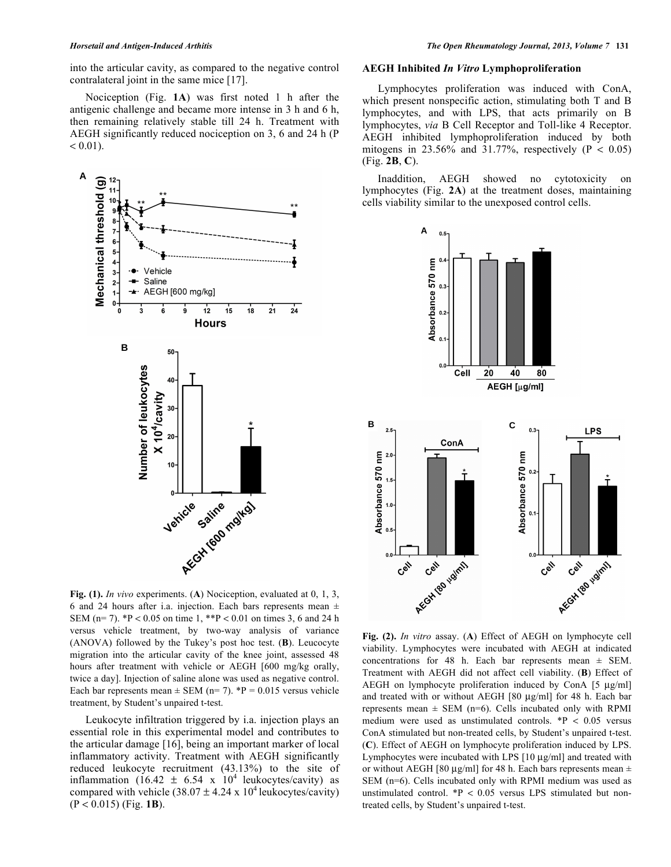into the articular cavity, as compared to the negative control contralateral joint in the same mice [17].

Nociception (Fig. **1A**) was first noted 1 h after the antigenic challenge and became more intense in 3 h and 6 h, then remaining relatively stable till 24 h. Treatment with AEGH significantly reduced nociception on 3, 6 and 24 h (P  $< 0.01$ ).



**Fig. (1).** *In vivo* experiments. (**A**) Nociception, evaluated at 0, 1, 3, 6 and 24 hours after i.a. injection. Each bars represents mean  $\pm$ SEM (n= 7). \*P < 0.05 on time 1, \*\*P < 0.01 on times 3, 6 and 24 h versus vehicle treatment, by two-way analysis of variance (ANOVA) followed by the Tukey's post hoc test. (**B**). Leucocyte migration into the articular cavity of the knee joint, assessed 48 hours after treatment with vehicle or AEGH [600 mg/kg orally, twice a day]. Injection of saline alone was used as negative control. Each bar represents mean  $\pm$  SEM (n= 7). \*P = 0.015 versus vehicle treatment, by Student's unpaired t-test.

Leukocyte infiltration triggered by i.a. injection plays an essential role in this experimental model and contributes to the articular damage [16], being an important marker of local inflammatory activity. Treatment with AEGH significantly reduced leukocyte recruitment (43.13%) to the site of inflammation (16.42  $\pm$  6.54 x 10<sup>4</sup> leukocytes/cavity) as compared with vehicle  $(38.07 \pm 4.24 \times 10^4 \text{ leukocytes/cavity})$ (P < 0.015) (Fig. **1B**).

#### **AEGH Inhibited** *In Vitro* **Lymphoproliferation**

Lymphocytes proliferation was induced with ConA, which present nonspecific action, stimulating both T and B lymphocytes, and with LPS, that acts primarily on B lymphocytes, *via* B Cell Receptor and Toll-like 4 Receptor. AEGH inhibited lymphoproliferation induced by both mitogens in 23.56% and 31.77%, respectively ( $P < 0.05$ ) (Fig. **2B**, **C**).

Inaddition, AEGH showed no cytotoxicity on lymphocytes (Fig. **2A**) at the treatment doses, maintaining cells viability similar to the unexposed control cells.



**Fig. (2).** *In vitro* assay. (**A**) Effect of AEGH on lymphocyte cell viability. Lymphocytes were incubated with AEGH at indicated concentrations for 48 h. Each bar represents mean ± SEM. Treatment with AEGH did not affect cell viability. (**B**) Effect of AEGH on lymphocyte proliferation induced by ConA [5 µg/ml] and treated with or without AEGH [80 µg/ml] for 48 h. Each bar represents mean  $\pm$  SEM (n=6). Cells incubated only with RPMI medium were used as unstimulated controls. \*P < 0.05 versus ConA stimulated but non-treated cells, by Student's unpaired t-test. (**C**). Effect of AEGH on lymphocyte proliferation induced by LPS. Lymphocytes were incubated with LPS [10 µg/ml] and treated with or without AEGH [80  $\mu$ g/ml] for 48 h. Each bars represents mean  $\pm$ SEM (n=6). Cells incubated only with RPMI medium was used as unstimulated control. \*P < 0.05 versus LPS stimulated but nontreated cells, by Student's unpaired t-test.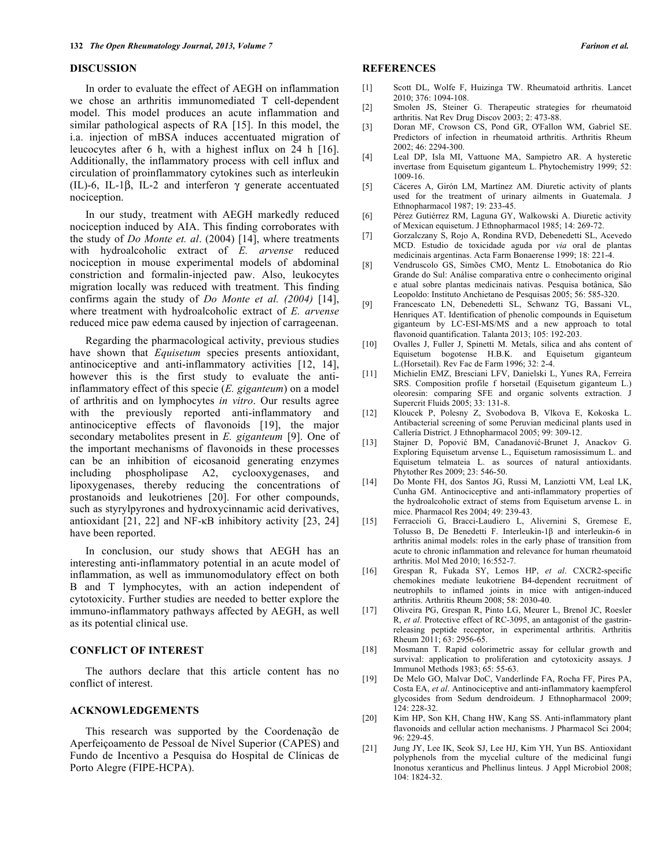#### **DISCUSSION**

In order to evaluate the effect of AEGH on inflammation we chose an arthritis immunomediated T cell-dependent model. This model produces an acute inflammation and similar pathological aspects of RA [15]. In this model, the i.a. injection of mBSA induces accentuated migration of leucocytes after 6 h, with a highest influx on 24 h [16]. Additionally, the inflammatory process with cell influx and circulation of proinflammatory cytokines such as interleukin (IL)-6, IL-1β, IL-2 and interferon γ generate accentuated nociception.

In our study, treatment with AEGH markedly reduced nociception induced by AIA. This finding corroborates with the study of *Do Monte et. al*. (2004) [14], where treatments with hydroalcoholic extract of *E. arvense* reduced nociception in mouse experimental models of abdominal constriction and formalin-injected paw. Also, leukocytes migration locally was reduced with treatment. This finding confirms again the study of *Do Monte et al. (2004)* [14], where treatment with hydroalcoholic extract of *E. arvense*  reduced mice paw edema caused by injection of carrageenan.

Regarding the pharmacological activity, previous studies have shown that *Equisetum* species presents antioxidant, antinociceptive and anti-inflammatory activities [12, 14], however this is the first study to evaluate the antiinflammatory effect of this specie (*E. giganteum*) on a model of arthritis and on lymphocytes *in vitro*. Our results agree with the previously reported anti-inflammatory and antinociceptive effects of flavonoids [19], the major secondary metabolites present in *E. giganteum* [9]. One of the important mechanisms of flavonoids in these processes can be an inhibition of eicosanoid generating enzymes including phospholipase A2, cyclooxygenases, and lipoxygenases, thereby reducing the concentrations of prostanoids and leukotrienes [20]. For other compounds, such as styrylpyrones and hydroxycinnamic acid derivatives, antioxidant [21, 22] and NF-κB inhibitory activity [23, 24] have been reported.

In conclusion, our study shows that AEGH has an interesting anti-inflammatory potential in an acute model of inflammation, as well as immunomodulatory effect on both B and T lymphocytes, with an action independent of cytotoxicity. Further studies are needed to better explore the immuno-inflammatory pathways affected by AEGH, as well as its potential clinical use.

#### **CONFLICT OF INTEREST**

The authors declare that this article content has no conflict of interest.

#### **ACKNOWLEDGEMENTS**

This research was supported by the Coordenação de Aperfeiçoamento de Pessoal de Nível Superior (CAPES) and Fundo de Incentivo a Pesquisa do Hospital de Clínicas de Porto Alegre (FIPE-HCPA).

#### **REFERENCES**

- [1] Scott DL, Wolfe F, Huizinga TW. Rheumatoid arthritis. Lancet 2010; 376: 1094-108.
- [2] Smolen JS, Steiner G. Therapeutic strategies for rheumatoid arthritis. Nat Rev Drug Discov 2003; 2: 473-88.
- [3] Doran MF, Crowson CS, Pond GR, O'Fallon WM, Gabriel SE. Predictors of infection in rheumatoid arthritis. Arthritis Rheum 2002; 46: 2294-300.
- [4] Leal DP, Isla MI, Vattuone MA, Sampietro AR. A hysteretic invertase from Equisetum giganteum L. Phytochemistry 1999; 52: 1009-16.
- [5] Cáceres A, Girón LM, Martínez AM. Diuretic activity of plants used for the treatment of urinary ailments in Guatemala. J Ethnopharmacol 1987; 19: 233-45.
- [6] Pérez Gutiérrez RM, Laguna GY, Walkowski A. Diuretic activity of Mexican equisetum. J Ethnopharmacol 1985; 14: 269-72.
- [7] Gorzalczany S, Rojo A, Rondina RVD, Debenedetti SL, Acevedo MCD. Estudio de toxicidade aguda por *via* oral de plantas medicinais argentinas. Acta Farm Bonaerense 1999; 18: 221-4.
- [8] Vendruscolo GS, Simões CMO, Mentz L. Etnobotanica do Rio Grande do Sul: Análise comparativa entre o conhecimento original e atual sobre plantas medicinais nativas. Pesquisa botânica, São Leopoldo: Instituto Anchietano de Pesquisas 2005; 56: 585-320.
- [9] Francescato LN, Debenedetti SL, Schwanz TG, Bassani VL, Henriques AT. Identification of phenolic compounds in Equisetum giganteum by LC-ESI-MS/MS and a new approach to total flavonoid quantification. Talanta 2013; 105: 192-203.
- [10] Ovalles J, Fuller J, Spinetti M. Metals, silica and ahs content of Equisetum bogotense H.B.K. and Equisetum giganteum L.(Horsetail). Rev Fac de Farm 1996; 32: 2-4.
- [11] Michielin EMZ, Bresciani LFV, Danielski L, Yunes RA, Ferreira SRS. Composition profile f horsetail (Equisetum giganteum L.) oleoresin: comparing SFE and organic solvents extraction. J Supercrit Fluids 2005; 33: 131-8.
- [12] Kloucek P, Polesny Z, Svobodova B, Vlkova E, Kokoska L. Antibacterial screening of some Peruvian medicinal plants used in Callería District. J Ethnopharmacol 2005; 99: 309-12.
- [13] Stajner D, Popović BM, Canadanović-Brunet J, Anackov G. Exploring Equisetum arvense L., Equisetum ramosissimum L. and Equisetum telmateia L. as sources of natural antioxidants. Phytother Res 2009; 23: 546-50.
- [14] Do Monte FH, dos Santos JG, Russi M, Lanziotti VM, Leal LK, Cunha GM. Antinociceptive and anti-inflammatory properties of the hydroalcoholic extract of stems from Equisetum arvense L. in mice. Pharmacol Res 2004; 49: 239-43.
- [15] Ferraccioli G, Bracci-Laudiero L, Alivernini S, Gremese E, Tolusso B, De Benedetti F. Interleukin-1β and interleukin-6 in arthritis animal models: roles in the early phase of transition from acute to chronic inflammation and relevance for human rheumatoid arthritis. Mol Med 2010; 16:552-7.
- [16] Grespan R, Fukada SY, Lemos HP, *et al*. CXCR2-specific chemokines mediate leukotriene B4-dependent recruitment of neutrophils to inflamed joints in mice with antigen-induced arthritis. Arthritis Rheum 2008; 58: 2030-40.
- [17] Oliveira PG, Grespan R, Pinto LG, Meurer L, Brenol JC, Roesler R, *et al*. Protective effect of RC-3095, an antagonist of the gastrinreleasing peptide receptor, in experimental arthritis. Arthritis Rheum 2011; 63: 2956-65.
- [18] Mosmann T. Rapid colorimetric assay for cellular growth and survival: application to proliferation and cytotoxicity assays. J Immunol Methods 1983; 65: 55-63.
- [19] De Melo GO, Malvar DoC, Vanderlinde FA, Rocha FF, Pires PA, Costa EA, *et al*. Antinociceptive and anti-inflammatory kaempferol glycosides from Sedum dendroideum. J Ethnopharmacol 2009; 124: 228-32.
- [20] Kim HP, Son KH, Chang HW, Kang SS. Anti-inflammatory plant flavonoids and cellular action mechanisms. J Pharmacol Sci 2004; 96: 229-45.
- [21] Jung JY, Lee IK, Seok SJ, Lee HJ, Kim YH, Yun BS. Antioxidant polyphenols from the mycelial culture of the medicinal fungi Inonotus xeranticus and Phellinus linteus. J Appl Microbiol 2008; 104: 1824-32.